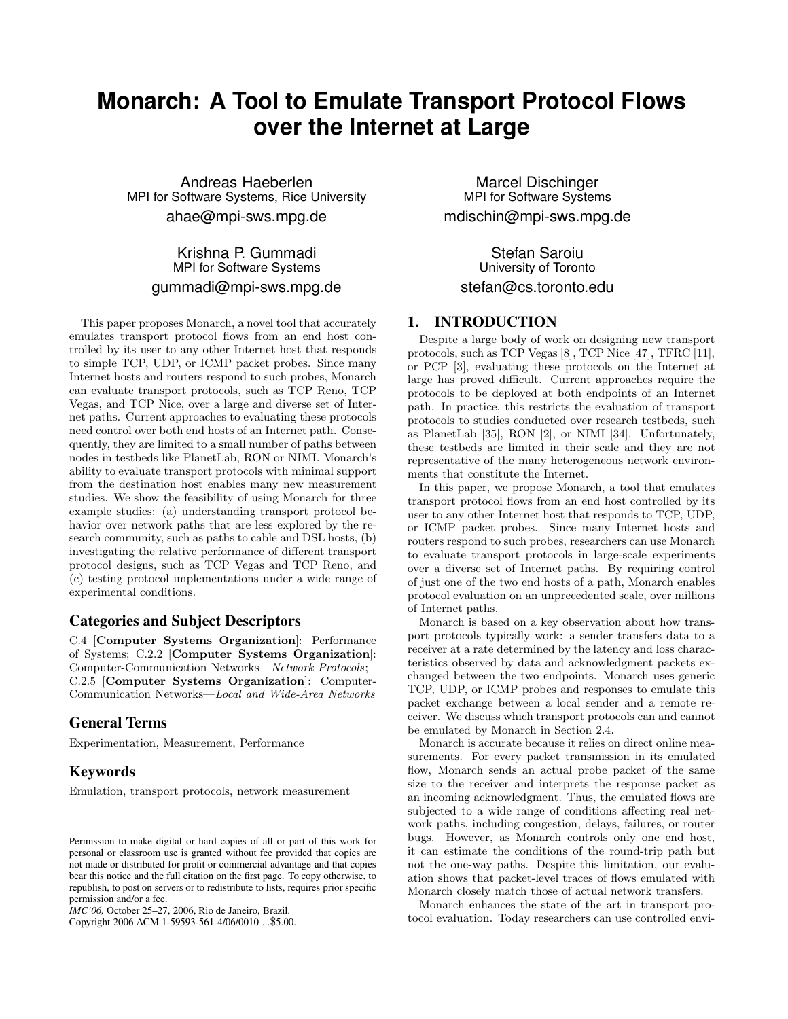# **Monarch: A Tool to Emulate Transport Protocol Flows over the Internet at Large**

Andreas Haeberlen MPI for Software Systems, Rice University ahae@mpi-sws.mpg.de

> Krishna P. Gummadi MPI for Software Systems gummadi@mpi-sws.mpg.de

This paper proposes Monarch, a novel tool that accurately emulates transport protocol flows from an end host controlled by its user to any other Internet host that responds to simple TCP, UDP, or ICMP packet probes. Since many Internet hosts and routers respond to such probes, Monarch can evaluate transport protocols, such as TCP Reno, TCP Vegas, and TCP Nice, over a large and diverse set of Internet paths. Current approaches to evaluating these protocols need control over both end hosts of an Internet path. Consequently, they are limited to a small number of paths between nodes in testbeds like PlanetLab, RON or NIMI. Monarch's ability to evaluate transport protocols with minimal support from the destination host enables many new measurement studies. We show the feasibility of using Monarch for three example studies: (a) understanding transport protocol behavior over network paths that are less explored by the research community, such as paths to cable and DSL hosts, (b) investigating the relative performance of different transport protocol designs, such as TCP Vegas and TCP Reno, and (c) testing protocol implementations under a wide range of experimental conditions.

## **Categories and Subject Descriptors**

C.4 [Computer Systems Organization]: Performance of Systems; C.2.2 [Computer Systems Organization]: Computer-Communication Networks—Network Protocols; C.2.5 [Computer Systems Organization]: Computer-Communication Networks—Local and Wide-Area Networks

#### **General Terms**

Experimentation, Measurement, Performance

# **Keywords**

Emulation, transport protocols, network measurement

Copyright 2006 ACM 1-59593-561-4/06/0010 ...\$5.00.

Marcel Dischinger MPI for Software Systems mdischin@mpi-sws.mpg.de

Stefan Saroiu University of Toronto stefan@cs.toronto.edu

#### **1. INTRODUCTION**

Despite a large body of work on designing new transport protocols, such as TCP Vegas [8], TCP Nice [47], TFRC [11], or PCP [3], evaluating these protocols on the Internet at large has proved difficult. Current approaches require the protocols to be deployed at both endpoints of an Internet path. In practice, this restricts the evaluation of transport protocols to studies conducted over research testbeds, such as PlanetLab [35], RON [2], or NIMI [34]. Unfortunately, these testbeds are limited in their scale and they are not representative of the many heterogeneous network environments that constitute the Internet.

In this paper, we propose Monarch, a tool that emulates transport protocol flows from an end host controlled by its user to any other Internet host that responds to TCP, UDP, or ICMP packet probes. Since many Internet hosts and routers respond to such probes, researchers can use Monarch to evaluate transport protocols in large-scale experiments over a diverse set of Internet paths. By requiring control of just one of the two end hosts of a path, Monarch enables protocol evaluation on an unprecedented scale, over millions of Internet paths.

Monarch is based on a key observation about how transport protocols typically work: a sender transfers data to a receiver at a rate determined by the latency and loss characteristics observed by data and acknowledgment packets exchanged between the two endpoints. Monarch uses generic TCP, UDP, or ICMP probes and responses to emulate this packet exchange between a local sender and a remote receiver. We discuss which transport protocols can and cannot be emulated by Monarch in Section 2.4.

Monarch is accurate because it relies on direct online measurements. For every packet transmission in its emulated flow, Monarch sends an actual probe packet of the same size to the receiver and interprets the response packet as an incoming acknowledgment. Thus, the emulated flows are subjected to a wide range of conditions affecting real network paths, including congestion, delays, failures, or router bugs. However, as Monarch controls only one end host, it can estimate the conditions of the round-trip path but not the one-way paths. Despite this limitation, our evaluation shows that packet-level traces of flows emulated with Monarch closely match those of actual network transfers.

Monarch enhances the state of the art in transport protocol evaluation. Today researchers can use controlled envi-

Permission to make digital or hard copies of all or part of this work for personal or classroom use is granted without fee provided that copies are not made or distributed for profit or commercial advantage and that copies bear this notice and the full citation on the first page. To copy otherwise, to republish, to post on servers or to redistribute to lists, requires prior specific permission and/or a fee.

*IMC'06,* October 25–27, 2006, Rio de Janeiro, Brazil.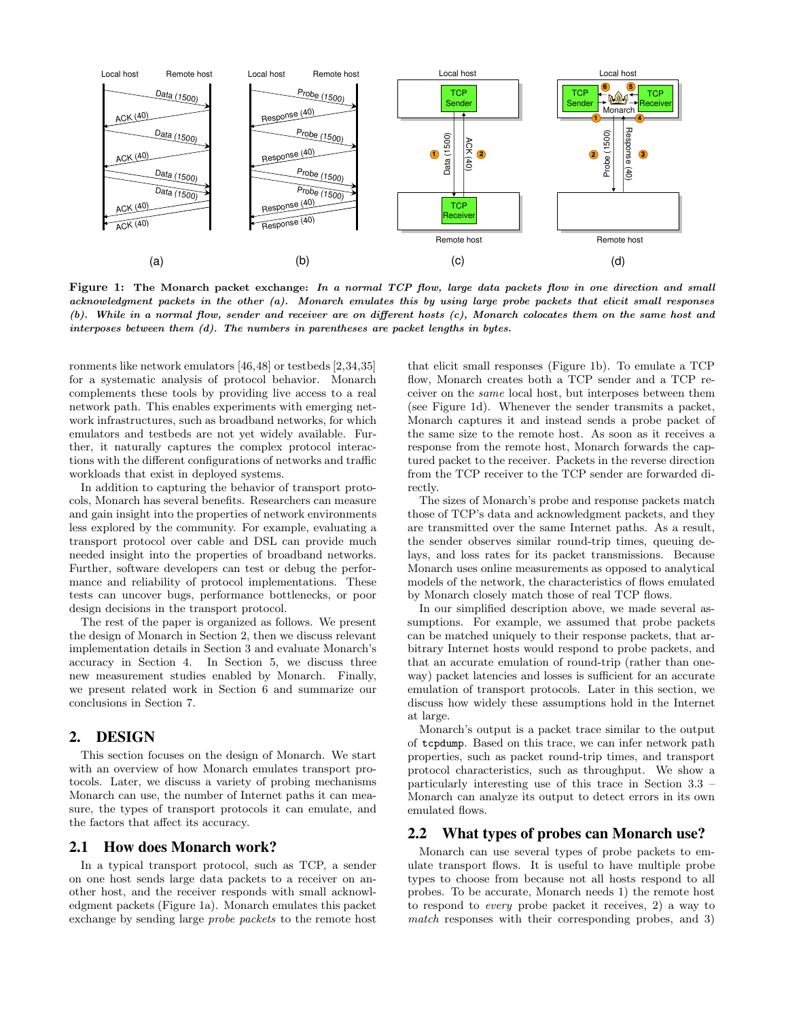

Figure 1: The Monarch packet exchange: In a normal TCP flow, large data packets flow in one direction and small acknowledgment packets in the other (a). Monarch emulates this by using large probe packets that elicit small responses (b). While in a normal flow, sender and receiver are on different hosts (c), Monarch colocates them on the same host and interposes between them (d). The numbers in parentheses are packet lengths in bytes.

ronments like network emulators [46,48] or testbeds [2,34,35] for a systematic analysis of protocol behavior. Monarch complements these tools by providing live access to a real network path. This enables experiments with emerging network infrastructures, such as broadband networks, for which emulators and testbeds are not yet widely available. Further, it naturally captures the complex protocol interactions with the different configurations of networks and traffic workloads that exist in deployed systems.

In addition to capturing the behavior of transport protocols, Monarch has several benefits. Researchers can measure and gain insight into the properties of network environments less explored by the community. For example, evaluating a transport protocol over cable and DSL can provide much needed insight into the properties of broadband networks. Further, software developers can test or debug the performance and reliability of protocol implementations. These tests can uncover bugs, performance bottlenecks, or poor design decisions in the transport protocol.

The rest of the paper is organized as follows. We present the design of Monarch in Section 2, then we discuss relevant implementation details in Section 3 and evaluate Monarch's accuracy in Section 4. In Section 5, we discuss three new measurement studies enabled by Monarch. Finally, we present related work in Section 6 and summarize our conclusions in Section 7.

## **2. DESIGN**

This section focuses on the design of Monarch. We start with an overview of how Monarch emulates transport protocols. Later, we discuss a variety of probing mechanisms Monarch can use, the number of Internet paths it can measure, the types of transport protocols it can emulate, and the factors that affect its accuracy.

#### **2.1 How does Monarch work?**

In a typical transport protocol, such as TCP, a sender on one host sends large data packets to a receiver on another host, and the receiver responds with small acknowledgment packets (Figure 1a). Monarch emulates this packet exchange by sending large probe packets to the remote host that elicit small responses (Figure 1b). To emulate a TCP flow, Monarch creates both a TCP sender and a TCP receiver on the same local host, but interposes between them (see Figure 1d). Whenever the sender transmits a packet, Monarch captures it and instead sends a probe packet of the same size to the remote host. As soon as it receives a response from the remote host, Monarch forwards the captured packet to the receiver. Packets in the reverse direction from the TCP receiver to the TCP sender are forwarded directly.

The sizes of Monarch's probe and response packets match those of TCP's data and acknowledgment packets, and they are transmitted over the same Internet paths. As a result, the sender observes similar round-trip times, queuing delays, and loss rates for its packet transmissions. Because Monarch uses online measurements as opposed to analytical models of the network, the characteristics of flows emulated by Monarch closely match those of real TCP flows.

In our simplified description above, we made several assumptions. For example, we assumed that probe packets can be matched uniquely to their response packets, that arbitrary Internet hosts would respond to probe packets, and that an accurate emulation of round-trip (rather than oneway) packet latencies and losses is sufficient for an accurate emulation of transport protocols. Later in this section, we discuss how widely these assumptions hold in the Internet at large.

Monarch's output is a packet trace similar to the output of tcpdump. Based on this trace, we can infer network path properties, such as packet round-trip times, and transport protocol characteristics, such as throughput. We show a particularly interesting use of this trace in Section 3.3 – Monarch can analyze its output to detect errors in its own emulated flows.

## **2.2 What types of probes can Monarch use?**

Monarch can use several types of probe packets to emulate transport flows. It is useful to have multiple probe types to choose from because not all hosts respond to all probes. To be accurate, Monarch needs 1) the remote host to respond to every probe packet it receives, 2) a way to match responses with their corresponding probes, and 3)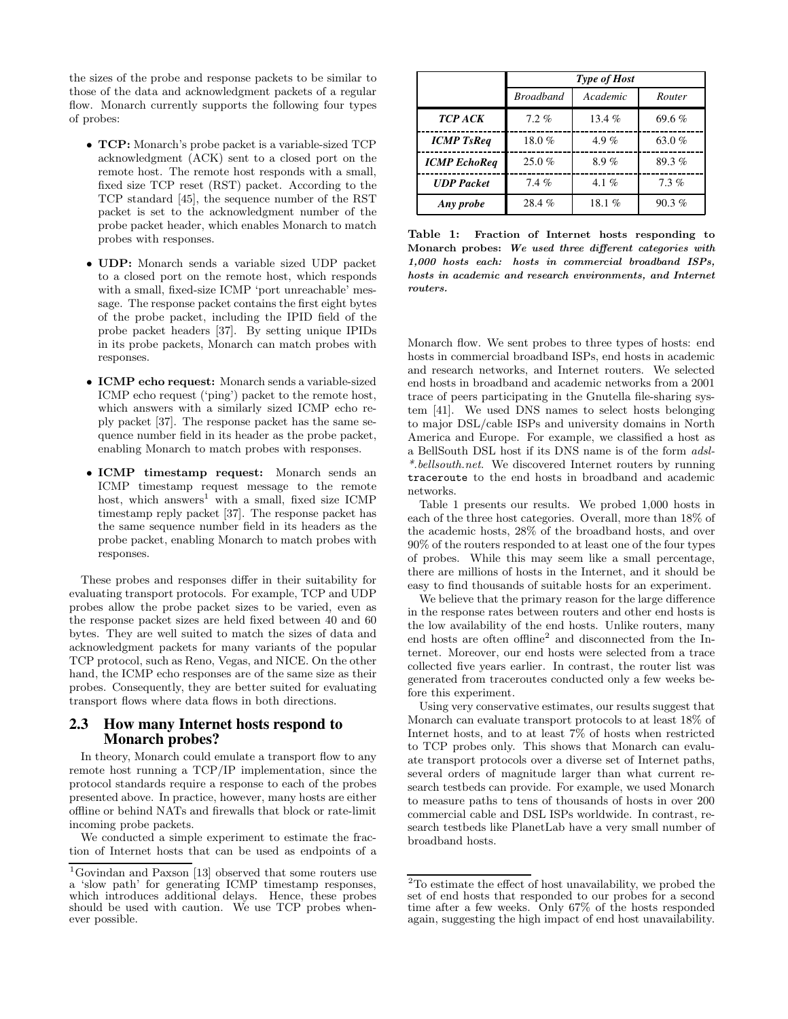the sizes of the probe and response packets to be similar to those of the data and acknowledgment packets of a regular flow. Monarch currently supports the following four types of probes:

- TCP: Monarch's probe packet is a variable-sized TCP acknowledgment (ACK) sent to a closed port on the remote host. The remote host responds with a small, fixed size TCP reset (RST) packet. According to the TCP standard [45], the sequence number of the RST packet is set to the acknowledgment number of the probe packet header, which enables Monarch to match probes with responses.
- UDP: Monarch sends a variable sized UDP packet to a closed port on the remote host, which responds with a small, fixed-size ICMP 'port unreachable' message. The response packet contains the first eight bytes of the probe packet, including the IPID field of the probe packet headers [37]. By setting unique IPIDs in its probe packets, Monarch can match probes with responses.
- ICMP echo request: Monarch sends a variable-sized ICMP echo request ('ping') packet to the remote host, which answers with a similarly sized ICMP echo reply packet [37]. The response packet has the same sequence number field in its header as the probe packet, enabling Monarch to match probes with responses.
- ICMP timestamp request: Monarch sends an ICMP timestamp request message to the remote host, which answers<sup>1</sup> with a small, fixed size ICMP timestamp reply packet [37]. The response packet has the same sequence number field in its headers as the probe packet, enabling Monarch to match probes with responses.

These probes and responses differ in their suitability for evaluating transport protocols. For example, TCP and UDP probes allow the probe packet sizes to be varied, even as the response packet sizes are held fixed between 40 and 60 bytes. They are well suited to match the sizes of data and acknowledgment packets for many variants of the popular TCP protocol, such as Reno, Vegas, and NICE. On the other hand, the ICMP echo responses are of the same size as their probes. Consequently, they are better suited for evaluating transport flows where data flows in both directions.

#### **2.3 How many Internet hosts respond to Monarch probes?**

In theory, Monarch could emulate a transport flow to any remote host running a TCP/IP implementation, since the protocol standards require a response to each of the probes presented above. In practice, however, many hosts are either offline or behind NATs and firewalls that block or rate-limit incoming probe packets.

We conducted a simple experiment to estimate the fraction of Internet hosts that can be used as endpoints of a

|                     | <b>Type of Host</b> |          |          |  |  |  |  |
|---------------------|---------------------|----------|----------|--|--|--|--|
|                     | <b>Broadband</b>    | Academic | Router   |  |  |  |  |
| <b>TCP ACK</b>      | $7.2\%$             | 13.4%    | 69.6 $%$ |  |  |  |  |
| <b>ICMP</b> TsReq   | 18.0 $%$            | 4.9 %    | 63.0 $%$ |  |  |  |  |
| <b>ICMP</b> EchoRea | 25.0%               | 8.9%     | 89.3%    |  |  |  |  |
| <b>UDP</b> Packet   | $7.4\%$             | 4.1 %    | $7.3\%$  |  |  |  |  |
| Any probe           | 28.4%               | 18.1 $%$ | 90.3%    |  |  |  |  |

Table 1: Fraction of Internet hosts responding to Monarch probes: We used three different categories with 1,000 hosts each: hosts in commercial broadband ISPs, hosts in academic and research environments, and Internet routers.

Monarch flow. We sent probes to three types of hosts: end hosts in commercial broadband ISPs, end hosts in academic and research networks, and Internet routers. We selected end hosts in broadband and academic networks from a 2001 trace of peers participating in the Gnutella file-sharing system [41]. We used DNS names to select hosts belonging to major DSL/cable ISPs and university domains in North America and Europe. For example, we classified a host as a BellSouth DSL host if its DNS name is of the form adsl- \*.bellsouth.net. We discovered Internet routers by running traceroute to the end hosts in broadband and academic networks.

Table 1 presents our results. We probed 1,000 hosts in each of the three host categories. Overall, more than 18% of the academic hosts, 28% of the broadband hosts, and over 90% of the routers responded to at least one of the four types of probes. While this may seem like a small percentage, there are millions of hosts in the Internet, and it should be easy to find thousands of suitable hosts for an experiment.

We believe that the primary reason for the large difference in the response rates between routers and other end hosts is the low availability of the end hosts. Unlike routers, many end hosts are often offline<sup>2</sup> and disconnected from the Internet. Moreover, our end hosts were selected from a trace collected five years earlier. In contrast, the router list was generated from traceroutes conducted only a few weeks before this experiment.

Using very conservative estimates, our results suggest that Monarch can evaluate transport protocols to at least 18% of Internet hosts, and to at least 7% of hosts when restricted to TCP probes only. This shows that Monarch can evaluate transport protocols over a diverse set of Internet paths, several orders of magnitude larger than what current research testbeds can provide. For example, we used Monarch to measure paths to tens of thousands of hosts in over 200 commercial cable and DSL ISPs worldwide. In contrast, research testbeds like PlanetLab have a very small number of broadband hosts.

<sup>1</sup>Govindan and Paxson [13] observed that some routers use a 'slow path' for generating ICMP timestamp responses, which introduces additional delays. Hence, these probes should be used with caution. We use TCP probes whenever possible.

<sup>2</sup>To estimate the effect of host unavailability, we probed the set of end hosts that responded to our probes for a second time after a few weeks. Only 67% of the hosts responded again, suggesting the high impact of end host unavailability.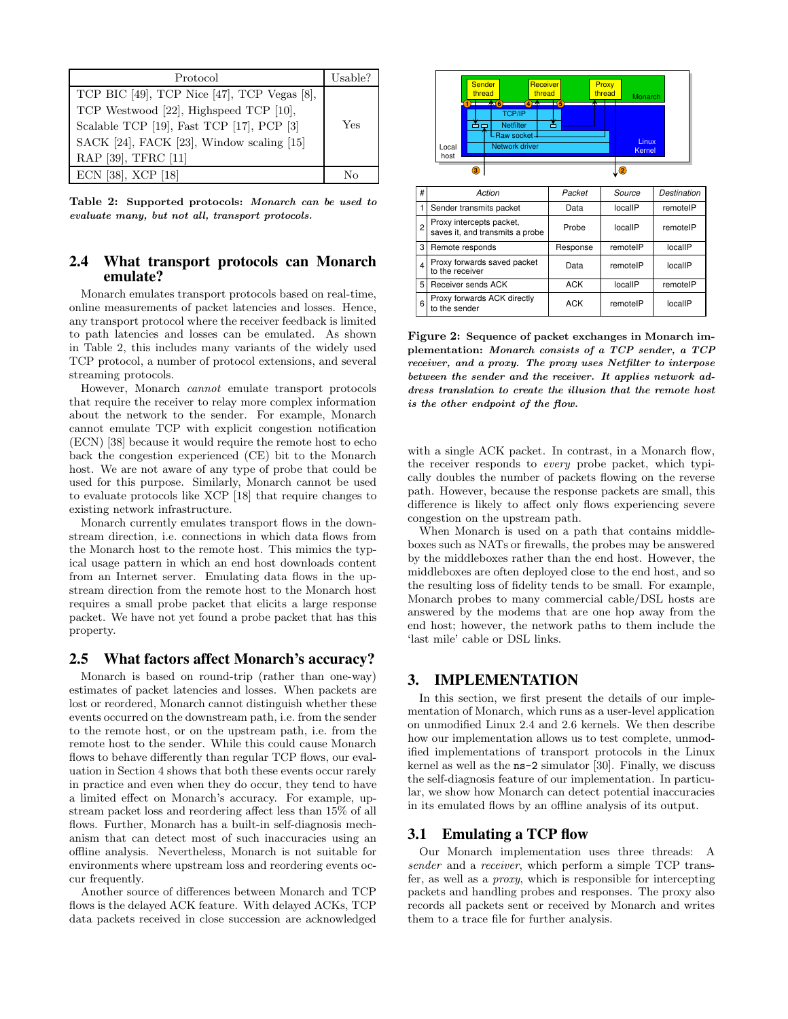| Protocol                                                                            | Usable? |
|-------------------------------------------------------------------------------------|---------|
| TCP BIC [49], TCP Nice [47], TCP Vegas [8],                                         |         |
| TCP Westwood [22], Highspeed TCP [10],<br>Scalable TCP [19], Fast TCP [17], PCP [3] | Yes     |
| SACK [24], FACK [23], Window scaling [15]                                           |         |
| RAP [39], TFRC [11]                                                                 |         |
| ECN [38], XCP [18]                                                                  |         |

Table 2: Supported protocols: Monarch can be used to evaluate many, but not all, transport protocols.

## **2.4 What transport protocols can Monarch emulate?**

Monarch emulates transport protocols based on real-time, online measurements of packet latencies and losses. Hence, any transport protocol where the receiver feedback is limited to path latencies and losses can be emulated. As shown in Table 2, this includes many variants of the widely used TCP protocol, a number of protocol extensions, and several streaming protocols.

However, Monarch cannot emulate transport protocols that require the receiver to relay more complex information about the network to the sender. For example, Monarch cannot emulate TCP with explicit congestion notification (ECN) [38] because it would require the remote host to echo back the congestion experienced (CE) bit to the Monarch host. We are not aware of any type of probe that could be used for this purpose. Similarly, Monarch cannot be used to evaluate protocols like XCP [18] that require changes to existing network infrastructure.

Monarch currently emulates transport flows in the downstream direction, i.e. connections in which data flows from the Monarch host to the remote host. This mimics the typical usage pattern in which an end host downloads content from an Internet server. Emulating data flows in the upstream direction from the remote host to the Monarch host requires a small probe packet that elicits a large response packet. We have not yet found a probe packet that has this property.

## **2.5 What factors affect Monarch's accuracy?**

Monarch is based on round-trip (rather than one-way) estimates of packet latencies and losses. When packets are lost or reordered, Monarch cannot distinguish whether these events occurred on the downstream path, i.e. from the sender to the remote host, or on the upstream path, i.e. from the remote host to the sender. While this could cause Monarch flows to behave differently than regular TCP flows, our evaluation in Section 4 shows that both these events occur rarely in practice and even when they do occur, they tend to have a limited effect on Monarch's accuracy. For example, upstream packet loss and reordering affect less than 15% of all flows. Further, Monarch has a built-in self-diagnosis mechanism that can detect most of such inaccuracies using an offline analysis. Nevertheless, Monarch is not suitable for environments where upstream loss and reordering events occur frequently.

Another source of differences between Monarch and TCP flows is the delayed ACK feature. With delayed ACKs, TCP data packets received in close succession are acknowledged



| #              | Action                                                      | Packet     | Source   | <b>Destination</b> |  |
|----------------|-------------------------------------------------------------|------------|----------|--------------------|--|
|                | Sender transmits packet                                     | Data       | locallP  | remotelP           |  |
| $\overline{2}$ | Proxy intercepts packet,<br>saves it, and transmits a probe | Probe      | locallP  | remotelP           |  |
| 3              | Remote responds                                             | Response   | remotelP | localIP            |  |
| $\overline{4}$ | Proxy forwards saved packet<br>to the receiver              | Data       | remotelP | localIP            |  |
| 5              | Receiver sends ACK                                          | <b>ACK</b> | locallP  | remotelP           |  |
| 6              | Proxy forwards ACK directly<br>to the sender                | <b>ACK</b> | remotelP | localIP            |  |

Figure 2: Sequence of packet exchanges in Monarch implementation: Monarch consists of a TCP sender, a TCP receiver, and a proxy. The proxy uses Netfilter to interpose between the sender and the receiver. It applies network address translation to create the illusion that the remote host is the other endpoint of the flow.

with a single ACK packet. In contrast, in a Monarch flow, the receiver responds to every probe packet, which typically doubles the number of packets flowing on the reverse path. However, because the response packets are small, this difference is likely to affect only flows experiencing severe congestion on the upstream path.

When Monarch is used on a path that contains middleboxes such as NATs or firewalls, the probes may be answered by the middleboxes rather than the end host. However, the middleboxes are often deployed close to the end host, and so the resulting loss of fidelity tends to be small. For example, Monarch probes to many commercial cable/DSL hosts are answered by the modems that are one hop away from the end host; however, the network paths to them include the 'last mile' cable or DSL links.

#### **3. IMPLEMENTATION**

In this section, we first present the details of our implementation of Monarch, which runs as a user-level application on unmodified Linux 2.4 and 2.6 kernels. We then describe how our implementation allows us to test complete, unmodified implementations of transport protocols in the Linux kernel as well as the ns-2 simulator [30]. Finally, we discuss the self-diagnosis feature of our implementation. In particular, we show how Monarch can detect potential inaccuracies in its emulated flows by an offline analysis of its output.

#### **3.1 Emulating a TCP flow**

Our Monarch implementation uses three threads: A sender and a receiver, which perform a simple TCP transfer, as well as a proxy, which is responsible for intercepting packets and handling probes and responses. The proxy also records all packets sent or received by Monarch and writes them to a trace file for further analysis.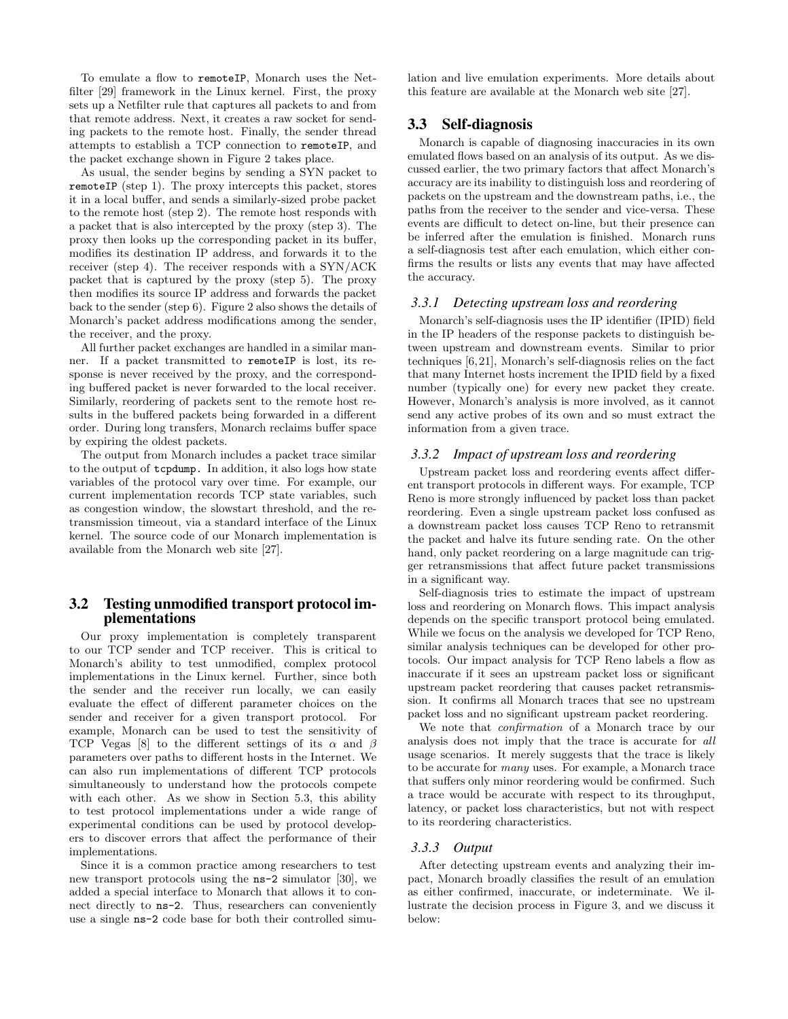To emulate a flow to remoteIP, Monarch uses the Netfilter [29] framework in the Linux kernel. First, the proxy sets up a Netfilter rule that captures all packets to and from that remote address. Next, it creates a raw socket for sending packets to the remote host. Finally, the sender thread attempts to establish a TCP connection to remoteIP, and the packet exchange shown in Figure 2 takes place.

As usual, the sender begins by sending a SYN packet to remoteIP (step 1). The proxy intercepts this packet, stores it in a local buffer, and sends a similarly-sized probe packet to the remote host (step 2). The remote host responds with a packet that is also intercepted by the proxy (step 3). The proxy then looks up the corresponding packet in its buffer, modifies its destination IP address, and forwards it to the receiver (step 4). The receiver responds with a SYN/ACK packet that is captured by the proxy (step 5). The proxy then modifies its source IP address and forwards the packet back to the sender (step 6). Figure 2 also shows the details of Monarch's packet address modifications among the sender, the receiver, and the proxy.

All further packet exchanges are handled in a similar manner. If a packet transmitted to remoteIP is lost, its response is never received by the proxy, and the corresponding buffered packet is never forwarded to the local receiver. Similarly, reordering of packets sent to the remote host results in the buffered packets being forwarded in a different order. During long transfers, Monarch reclaims buffer space by expiring the oldest packets.

The output from Monarch includes a packet trace similar to the output of tcpdump. In addition, it also logs how state variables of the protocol vary over time. For example, our current implementation records TCP state variables, such as congestion window, the slowstart threshold, and the retransmission timeout, via a standard interface of the Linux kernel. The source code of our Monarch implementation is available from the Monarch web site [27].

### **3.2 Testing unmodified transport protocol implementations**

Our proxy implementation is completely transparent to our TCP sender and TCP receiver. This is critical to Monarch's ability to test unmodified, complex protocol implementations in the Linux kernel. Further, since both the sender and the receiver run locally, we can easily evaluate the effect of different parameter choices on the sender and receiver for a given transport protocol. For example, Monarch can be used to test the sensitivity of TCP Vegas [8] to the different settings of its  $\alpha$  and  $\beta$ parameters over paths to different hosts in the Internet. We can also run implementations of different TCP protocols simultaneously to understand how the protocols compete with each other. As we show in Section 5.3, this ability to test protocol implementations under a wide range of experimental conditions can be used by protocol developers to discover errors that affect the performance of their implementations.

Since it is a common practice among researchers to test new transport protocols using the ns-2 simulator [30], we added a special interface to Monarch that allows it to connect directly to ns-2. Thus, researchers can conveniently use a single ns-2 code base for both their controlled simulation and live emulation experiments. More details about this feature are available at the Monarch web site [27].

## **3.3 Self-diagnosis**

Monarch is capable of diagnosing inaccuracies in its own emulated flows based on an analysis of its output. As we discussed earlier, the two primary factors that affect Monarch's accuracy are its inability to distinguish loss and reordering of packets on the upstream and the downstream paths, i.e., the paths from the receiver to the sender and vice-versa. These events are difficult to detect on-line, but their presence can be inferred after the emulation is finished. Monarch runs a self-diagnosis test after each emulation, which either confirms the results or lists any events that may have affected the accuracy.

#### *3.3.1 Detecting upstream loss and reordering*

Monarch's self-diagnosis uses the IP identifier (IPID) field in the IP headers of the response packets to distinguish between upstream and downstream events. Similar to prior techniques [6,21], Monarch's self-diagnosis relies on the fact that many Internet hosts increment the IPID field by a fixed number (typically one) for every new packet they create. However, Monarch's analysis is more involved, as it cannot send any active probes of its own and so must extract the information from a given trace.

#### *3.3.2 Impact of upstream loss and reordering*

Upstream packet loss and reordering events affect different transport protocols in different ways. For example, TCP Reno is more strongly influenced by packet loss than packet reordering. Even a single upstream packet loss confused as a downstream packet loss causes TCP Reno to retransmit the packet and halve its future sending rate. On the other hand, only packet reordering on a large magnitude can trigger retransmissions that affect future packet transmissions in a significant way.

Self-diagnosis tries to estimate the impact of upstream loss and reordering on Monarch flows. This impact analysis depends on the specific transport protocol being emulated. While we focus on the analysis we developed for TCP Reno, similar analysis techniques can be developed for other protocols. Our impact analysis for TCP Reno labels a flow as inaccurate if it sees an upstream packet loss or significant upstream packet reordering that causes packet retransmission. It confirms all Monarch traces that see no upstream packet loss and no significant upstream packet reordering.

We note that confirmation of a Monarch trace by our analysis does not imply that the trace is accurate for all usage scenarios. It merely suggests that the trace is likely to be accurate for many uses. For example, a Monarch trace that suffers only minor reordering would be confirmed. Such a trace would be accurate with respect to its throughput, latency, or packet loss characteristics, but not with respect to its reordering characteristics.

#### *3.3.3 Output*

After detecting upstream events and analyzing their impact, Monarch broadly classifies the result of an emulation as either confirmed, inaccurate, or indeterminate. We illustrate the decision process in Figure 3, and we discuss it below: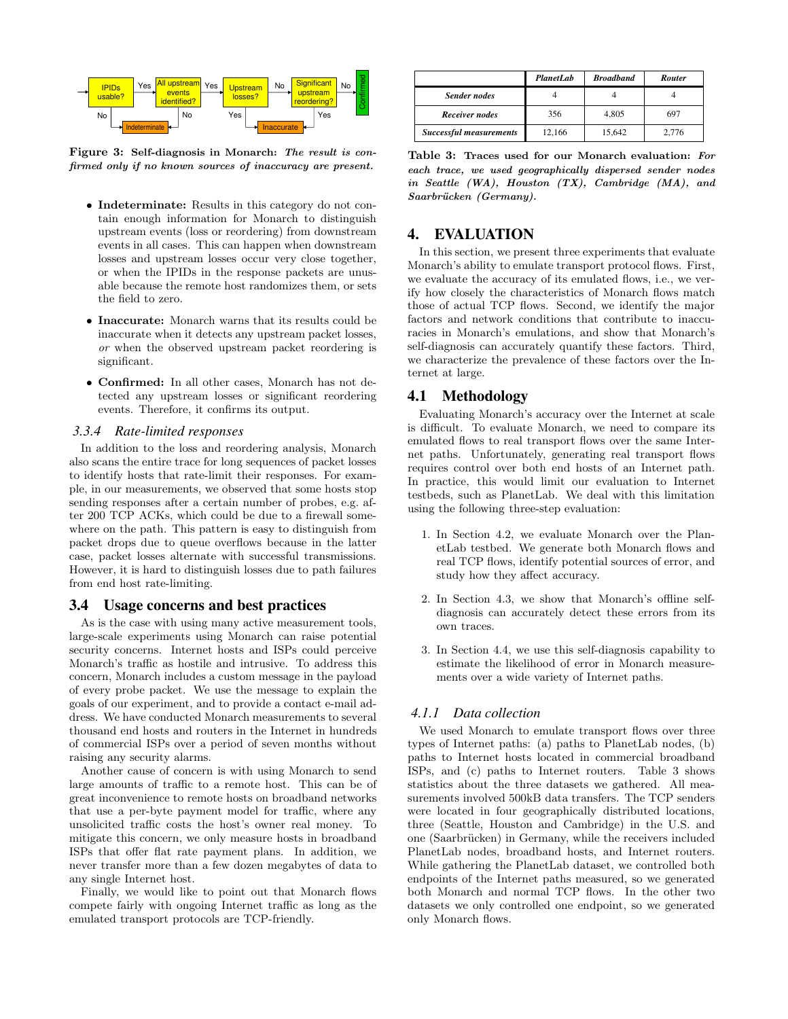

Figure 3: Self-diagnosis in Monarch: The result is confirmed only if no known sources of inaccuracy are present.

- Indeterminate: Results in this category do not contain enough information for Monarch to distinguish upstream events (loss or reordering) from downstream events in all cases. This can happen when downstream losses and upstream losses occur very close together, or when the IPIDs in the response packets are unusable because the remote host randomizes them, or sets the field to zero.
- Inaccurate: Monarch warns that its results could be inaccurate when it detects any upstream packet losses, or when the observed upstream packet reordering is significant.
- Confirmed: In all other cases, Monarch has not detected any upstream losses or significant reordering events. Therefore, it confirms its output.

#### *3.3.4 Rate-limited responses*

In addition to the loss and reordering analysis, Monarch also scans the entire trace for long sequences of packet losses to identify hosts that rate-limit their responses. For example, in our measurements, we observed that some hosts stop sending responses after a certain number of probes, e.g. after 200 TCP ACKs, which could be due to a firewall somewhere on the path. This pattern is easy to distinguish from packet drops due to queue overflows because in the latter case, packet losses alternate with successful transmissions. However, it is hard to distinguish losses due to path failures from end host rate-limiting.

#### **3.4 Usage concerns and best practices**

As is the case with using many active measurement tools, large-scale experiments using Monarch can raise potential security concerns. Internet hosts and ISPs could perceive Monarch's traffic as hostile and intrusive. To address this concern, Monarch includes a custom message in the payload of every probe packet. We use the message to explain the goals of our experiment, and to provide a contact e-mail address. We have conducted Monarch measurements to several thousand end hosts and routers in the Internet in hundreds of commercial ISPs over a period of seven months without raising any security alarms.

Another cause of concern is with using Monarch to send large amounts of traffic to a remote host. This can be of great inconvenience to remote hosts on broadband networks that use a per-byte payment model for traffic, where any unsolicited traffic costs the host's owner real money. To mitigate this concern, we only measure hosts in broadband ISPs that offer flat rate payment plans. In addition, we never transfer more than a few dozen megabytes of data to any single Internet host.

Finally, we would like to point out that Monarch flows compete fairly with ongoing Internet traffic as long as the emulated transport protocols are TCP-friendly.

|                                | PlanetLab | <b>Broadband</b> | <b>Router</b> |
|--------------------------------|-----------|------------------|---------------|
| <b>Sender</b> nodes            |           |                  |               |
| <b>Receiver nodes</b>          | 356       | 4.805            | 697           |
| <b>Successful measurements</b> | 12.166    | 15.642           | 2.776         |

Table 3: Traces used for our Monarch evaluation: For each trace, we used geographically dispersed sender nodes in Seattle (WA), Houston (TX), Cambridge (MA), and Saarbrücken (Germany).

## **4. EVALUATION**

In this section, we present three experiments that evaluate Monarch's ability to emulate transport protocol flows. First, we evaluate the accuracy of its emulated flows, i.e., we verify how closely the characteristics of Monarch flows match those of actual TCP flows. Second, we identify the major factors and network conditions that contribute to inaccuracies in Monarch's emulations, and show that Monarch's self-diagnosis can accurately quantify these factors. Third, we characterize the prevalence of these factors over the Internet at large.

#### **4.1 Methodology**

Evaluating Monarch's accuracy over the Internet at scale is difficult. To evaluate Monarch, we need to compare its emulated flows to real transport flows over the same Internet paths. Unfortunately, generating real transport flows requires control over both end hosts of an Internet path. In practice, this would limit our evaluation to Internet testbeds, such as PlanetLab. We deal with this limitation using the following three-step evaluation:

- 1. In Section 4.2, we evaluate Monarch over the PlanetLab testbed. We generate both Monarch flows and real TCP flows, identify potential sources of error, and study how they affect accuracy.
- 2. In Section 4.3, we show that Monarch's offline selfdiagnosis can accurately detect these errors from its own traces.
- 3. In Section 4.4, we use this self-diagnosis capability to estimate the likelihood of error in Monarch measurements over a wide variety of Internet paths.

## *4.1.1 Data collection*

We used Monarch to emulate transport flows over three types of Internet paths: (a) paths to PlanetLab nodes, (b) paths to Internet hosts located in commercial broadband ISPs, and (c) paths to Internet routers. Table 3 shows statistics about the three datasets we gathered. All measurements involved 500kB data transfers. The TCP senders were located in four geographically distributed locations, three (Seattle, Houston and Cambridge) in the U.S. and one (Saarbrücken) in Germany, while the receivers included PlanetLab nodes, broadband hosts, and Internet routers. While gathering the PlanetLab dataset, we controlled both endpoints of the Internet paths measured, so we generated both Monarch and normal TCP flows. In the other two datasets we only controlled one endpoint, so we generated only Monarch flows.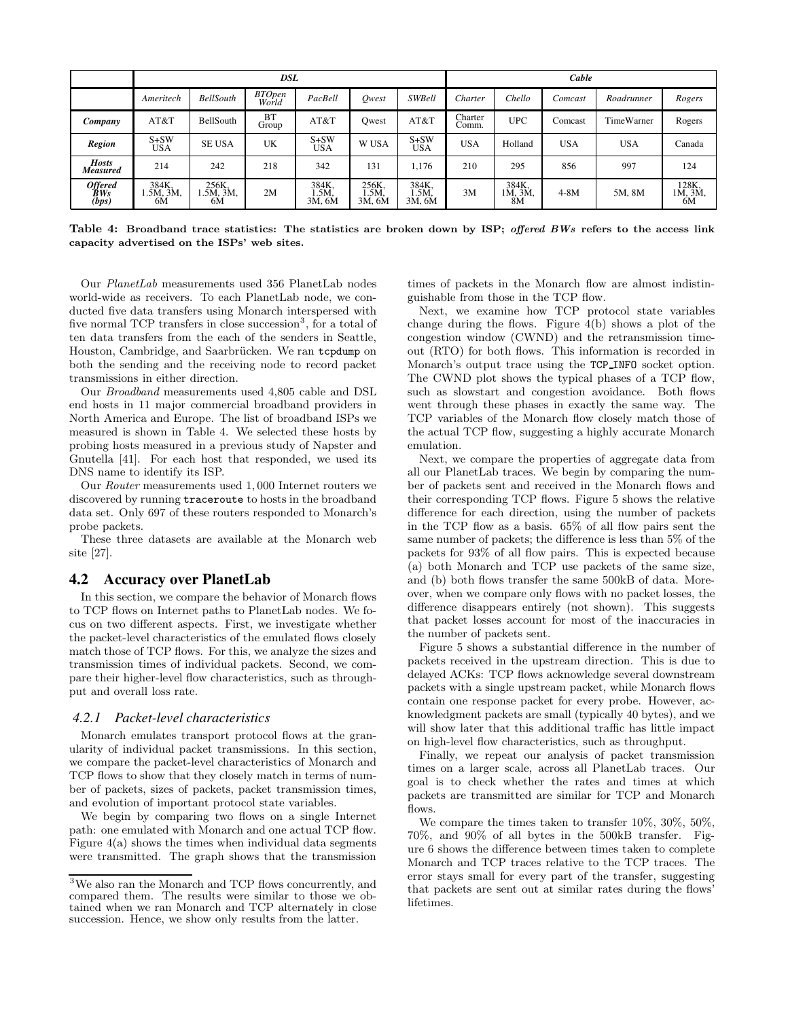|                          | DSL                      |                          |                    |                                |                                |                                |                  | Cable                  |         |                   |                        |
|--------------------------|--------------------------|--------------------------|--------------------|--------------------------------|--------------------------------|--------------------------------|------------------|------------------------|---------|-------------------|------------------------|
|                          | Ameritech                | <b>BellSouth</b>         | BTOpen<br>World    | PacBell                        | Owest                          | <b>SWBell</b>                  | Charter          | Chello                 | Comcast | Roadrunner        | Rogers                 |
| Company                  | AT&T                     | BellSouth                | <b>BT</b><br>Group | AT&T                           | Owest                          | AT&T                           | Charter<br>Comm. | <b>UPC</b>             | Comcast | <b>TimeWarner</b> | Rogers                 |
| <b>Region</b>            | $S + SW$<br>USA          | <b>SE USA</b>            | UK                 | $S + SW$<br>USA                | <b>W USA</b>                   | $S + SW$<br>USA                | USA              | Holland                | USA     | <b>USA</b>        | Canada                 |
| <b>Hosts</b><br>Measured | 214                      | 242                      | 218                | 342                            | 131                            | 1.176                          | 210              | 295                    | 856     | 997               | 124                    |
| Offered<br>BWs<br>(bps)  | 384K,<br>1.5M, 3M,<br>6M | 256K,<br>1.5M, 3M,<br>6М | 2M                 | 384K,<br>$\frac{1.5M}{3M, 6M}$ | 256K.<br>$\frac{1.5M}{3M, 6M}$ | 384K,<br>$\frac{1.5M}{3M, 6M}$ | 3M               | 384K,<br>1M, 3M,<br>8M | $4-8M$  | 5M, 8M            | 128K,<br>1M, 3M,<br>6M |

Table 4: Broadband trace statistics: The statistics are broken down by ISP; offered BWs refers to the access link capacity advertised on the ISPs' web sites.

Our PlanetLab measurements used 356 PlanetLab nodes world-wide as receivers. To each PlanetLab node, we conducted five data transfers using Monarch interspersed with five normal TCP transfers in close succession<sup>3</sup>, for a total of ten data transfers from the each of the senders in Seattle, Houston, Cambridge, and Saarbrücken. We ran tcpdump on both the sending and the receiving node to record packet transmissions in either direction.

Our Broadband measurements used 4,805 cable and DSL end hosts in 11 major commercial broadband providers in North America and Europe. The list of broadband ISPs we measured is shown in Table 4. We selected these hosts by probing hosts measured in a previous study of Napster and Gnutella [41]. For each host that responded, we used its DNS name to identify its ISP.

Our Router measurements used 1, 000 Internet routers we discovered by running traceroute to hosts in the broadband data set. Only 697 of these routers responded to Monarch's probe packets.

These three datasets are available at the Monarch web site [27].

## **4.2 Accuracy over PlanetLab**

In this section, we compare the behavior of Monarch flows to TCP flows on Internet paths to PlanetLab nodes. We focus on two different aspects. First, we investigate whether the packet-level characteristics of the emulated flows closely match those of TCP flows. For this, we analyze the sizes and transmission times of individual packets. Second, we compare their higher-level flow characteristics, such as throughput and overall loss rate.

#### *4.2.1 Packet-level characteristics*

Monarch emulates transport protocol flows at the granularity of individual packet transmissions. In this section, we compare the packet-level characteristics of Monarch and TCP flows to show that they closely match in terms of number of packets, sizes of packets, packet transmission times, and evolution of important protocol state variables.

We begin by comparing two flows on a single Internet path: one emulated with Monarch and one actual TCP flow. Figure 4(a) shows the times when individual data segments were transmitted. The graph shows that the transmission times of packets in the Monarch flow are almost indistinguishable from those in the TCP flow.

Next, we examine how TCP protocol state variables change during the flows. Figure 4(b) shows a plot of the congestion window (CWND) and the retransmission timeout (RTO) for both flows. This information is recorded in Monarch's output trace using the TCP INFO socket option. The CWND plot shows the typical phases of a TCP flow, such as slowstart and congestion avoidance. Both flows went through these phases in exactly the same way. The TCP variables of the Monarch flow closely match those of the actual TCP flow, suggesting a highly accurate Monarch emulation.

Next, we compare the properties of aggregate data from all our PlanetLab traces. We begin by comparing the number of packets sent and received in the Monarch flows and their corresponding TCP flows. Figure 5 shows the relative difference for each direction, using the number of packets in the TCP flow as a basis. 65% of all flow pairs sent the same number of packets; the difference is less than 5% of the packets for 93% of all flow pairs. This is expected because (a) both Monarch and TCP use packets of the same size, and (b) both flows transfer the same 500kB of data. Moreover, when we compare only flows with no packet losses, the difference disappears entirely (not shown). This suggests that packet losses account for most of the inaccuracies in the number of packets sent.

Figure 5 shows a substantial difference in the number of packets received in the upstream direction. This is due to delayed ACKs: TCP flows acknowledge several downstream packets with a single upstream packet, while Monarch flows contain one response packet for every probe. However, acknowledgment packets are small (typically 40 bytes), and we will show later that this additional traffic has little impact on high-level flow characteristics, such as throughput.

Finally, we repeat our analysis of packet transmission times on a larger scale, across all PlanetLab traces. Our goal is to check whether the rates and times at which packets are transmitted are similar for TCP and Monarch flows.

We compare the times taken to transfer 10%, 30%, 50%, 70%, and 90% of all bytes in the 500kB transfer. Figure 6 shows the difference between times taken to complete Monarch and TCP traces relative to the TCP traces. The error stays small for every part of the transfer, suggesting that packets are sent out at similar rates during the flows' lifetimes.

<sup>3</sup>We also ran the Monarch and TCP flows concurrently, and compared them. The results were similar to those we obtained when we ran Monarch and TCP alternately in close succession. Hence, we show only results from the latter.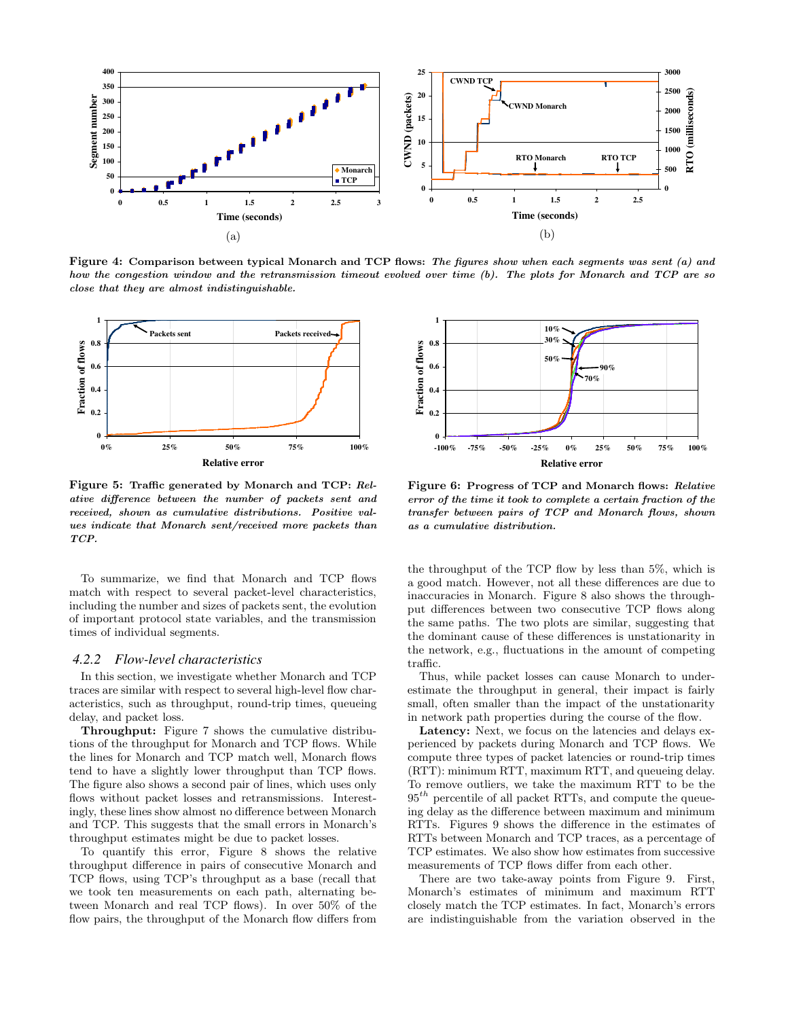

Figure 4: Comparison between typical Monarch and TCP flows: The figures show when each segments was sent (a) and how the congestion window and the retransmission timeout evolved over time (b). The plots for Monarch and TCP are so close that they are almost indistinguishable.



Figure 5: Traffic generated by Monarch and TCP: Relative difference between the number of packets sent and received, shown as cumulative distributions. Positive values indicate that Monarch sent/received more packets than TCP.

To summarize, we find that Monarch and TCP flows match with respect to several packet-level characteristics, including the number and sizes of packets sent, the evolution of important protocol state variables, and the transmission times of individual segments.

#### *4.2.2 Flow-level characteristics*

In this section, we investigate whether Monarch and TCP traces are similar with respect to several high-level flow characteristics, such as throughput, round-trip times, queueing delay, and packet loss.

Throughput: Figure 7 shows the cumulative distributions of the throughput for Monarch and TCP flows. While the lines for Monarch and TCP match well, Monarch flows tend to have a slightly lower throughput than TCP flows. The figure also shows a second pair of lines, which uses only flows without packet losses and retransmissions. Interestingly, these lines show almost no difference between Monarch and TCP. This suggests that the small errors in Monarch's throughput estimates might be due to packet losses.

To quantify this error, Figure 8 shows the relative throughput difference in pairs of consecutive Monarch and TCP flows, using TCP's throughput as a base (recall that we took ten measurements on each path, alternating between Monarch and real TCP flows). In over 50% of the flow pairs, the throughput of the Monarch flow differs from



Figure 6: Progress of TCP and Monarch flows: Relative error of the time it took to complete a certain fraction of the transfer between pairs of TCP and Monarch flows, shown as a cumulative distribution.

the throughput of the TCP flow by less than 5%, which is a good match. However, not all these differences are due to inaccuracies in Monarch. Figure 8 also shows the throughput differences between two consecutive TCP flows along the same paths. The two plots are similar, suggesting that the dominant cause of these differences is unstationarity in the network, e.g., fluctuations in the amount of competing traffic.

Thus, while packet losses can cause Monarch to underestimate the throughput in general, their impact is fairly small, often smaller than the impact of the unstationarity in network path properties during the course of the flow.

Latency: Next, we focus on the latencies and delays experienced by packets during Monarch and TCP flows. We compute three types of packet latencies or round-trip times (RTT): minimum RTT, maximum RTT, and queueing delay. To remove outliers, we take the maximum RTT to be the  $95<sup>th</sup>$  percentile of all packet RTTs, and compute the queueing delay as the difference between maximum and minimum RTTs. Figures 9 shows the difference in the estimates of RTTs between Monarch and TCP traces, as a percentage of TCP estimates. We also show how estimates from successive measurements of TCP flows differ from each other.

There are two take-away points from Figure 9. First, Monarch's estimates of minimum and maximum RTT closely match the TCP estimates. In fact, Monarch's errors are indistinguishable from the variation observed in the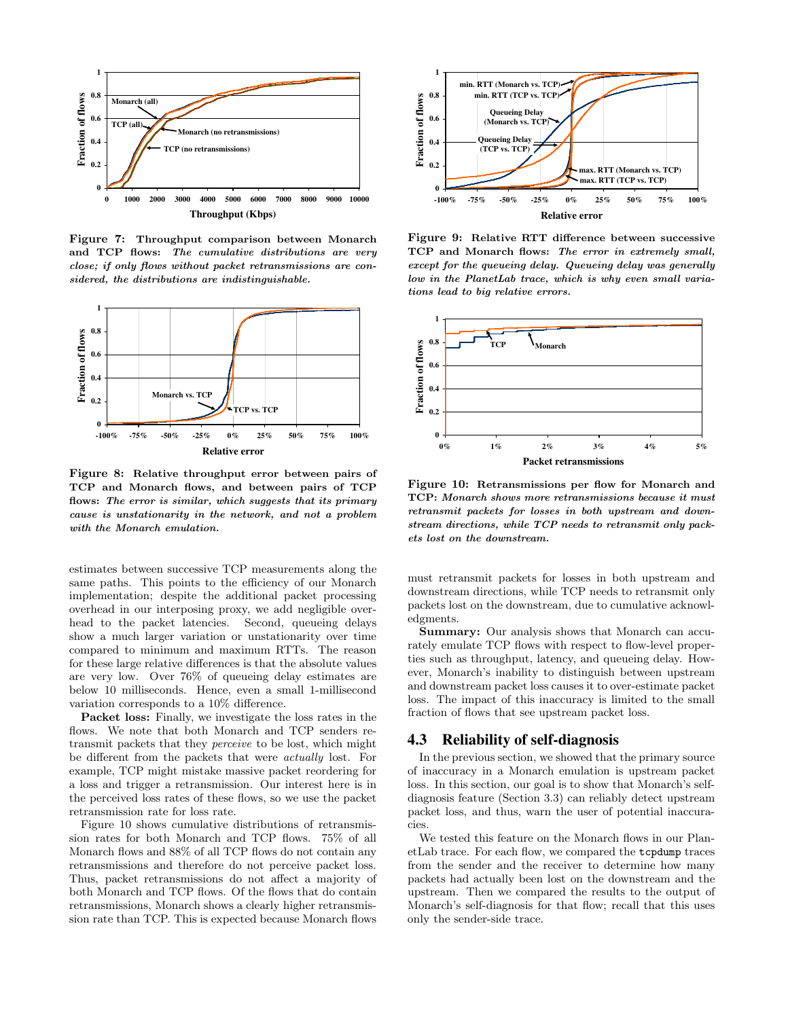

Figure 7: Throughput comparison between Monarch and TCP flows: The cumulative distributions are very close; if only flows without packet retransmissions are considered, the distributions are indistinguishable.



Figure 8: Relative throughput error between pairs of TCP and Monarch flows, and between pairs of TCP flows: The error is similar, which suggests that its primary cause is unstationarity in the network, and not a problem with the Monarch emulation.

estimates between successive TCP measurements along the same paths. This points to the efficiency of our Monarch implementation; despite the additional packet processing overhead in our interposing proxy, we add negligible overhead to the packet latencies. Second, queueing delays show a much larger variation or unstationarity over time compared to minimum and maximum RTTs. The reason for these large relative differences is that the absolute values are very low. Over 76% of queueing delay estimates are below 10 milliseconds. Hence, even a small 1-millisecond variation corresponds to a 10% difference.

Packet loss: Finally, we investigate the loss rates in the flows. We note that both Monarch and TCP senders retransmit packets that they perceive to be lost, which might be different from the packets that were actually lost. For example, TCP might mistake massive packet reordering for a loss and trigger a retransmission. Our interest here is in the perceived loss rates of these flows, so we use the packet retransmission rate for loss rate.

Figure 10 shows cumulative distributions of retransmission rates for both Monarch and TCP flows. 75% of all Monarch flows and 88% of all TCP flows do not contain any retransmissions and therefore do not perceive packet loss. Thus, packet retransmissions do not affect a majority of both Monarch and TCP flows. Of the flows that do contain retransmissions, Monarch shows a clearly higher retransmission rate than TCP. This is expected because Monarch flows



Figure 9: Relative RTT difference between successive TCP and Monarch flows: The error in extremely small, except for the queueing delay. Queueing delay was generally low in the PlanetLab trace, which is why even small variations lead to big relative errors.



Figure 10: Retransmissions per flow for Monarch and TCP: Monarch shows more retransmissions because it must retransmit packets for losses in both upstream and downstream directions, while TCP needs to retransmit only packets lost on the downstream.

must retransmit packets for losses in both upstream and downstream directions, while TCP needs to retransmit only packets lost on the downstream, due to cumulative acknowledgments.

Summary: Our analysis shows that Monarch can accurately emulate TCP flows with respect to flow-level properties such as throughput, latency, and queueing delay. However, Monarch's inability to distinguish between upstream and downstream packet loss causes it to over-estimate packet loss. The impact of this inaccuracy is limited to the small fraction of flows that see upstream packet loss.

#### **4.3 Reliability of self-diagnosis**

In the previous section, we showed that the primary source of inaccuracy in a Monarch emulation is upstream packet loss. In this section, our goal is to show that Monarch's selfdiagnosis feature (Section 3.3) can reliably detect upstream packet loss, and thus, warn the user of potential inaccuracies.

We tested this feature on the Monarch flows in our PlanetLab trace. For each flow, we compared the tcpdump traces from the sender and the receiver to determine how many packets had actually been lost on the downstream and the upstream. Then we compared the results to the output of Monarch's self-diagnosis for that flow; recall that this uses only the sender-side trace.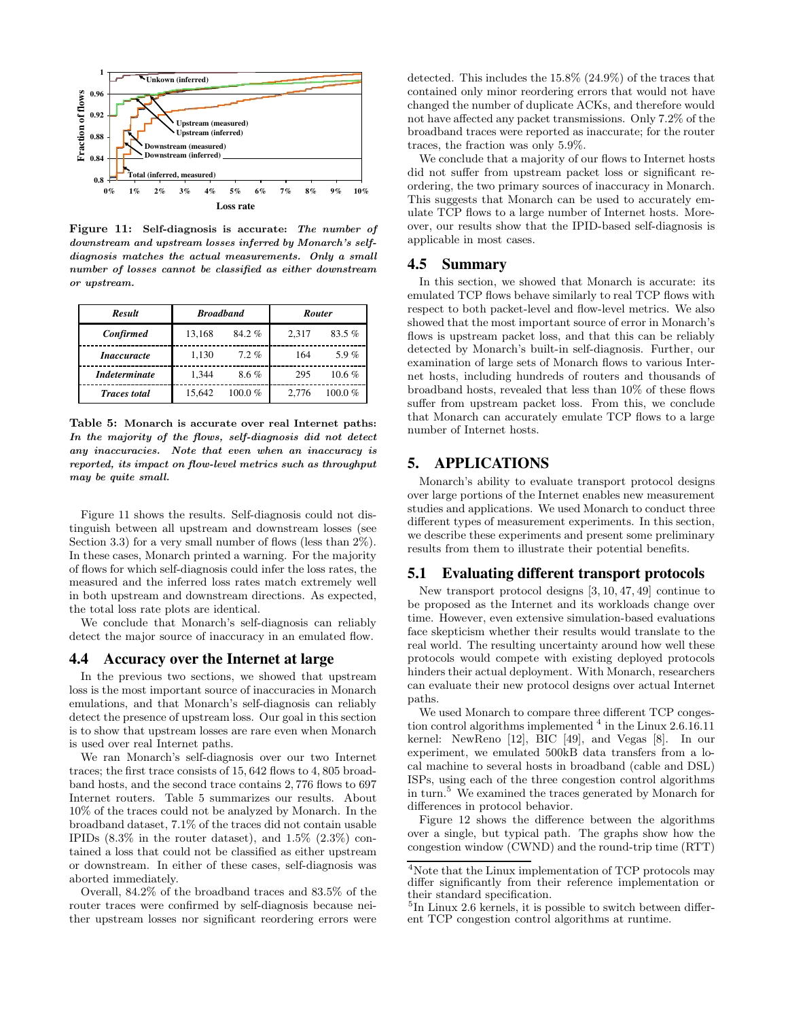

Figure 11: Self-diagnosis is accurate: The number of downstream and upstream losses inferred by Monarch's selfdiagnosis matches the actual measurements. Only a small number of losses cannot be classified as either downstream or upstream.

| Result               |        | <b>Broadband</b> | <b>Router</b> |           |  |
|----------------------|--------|------------------|---------------|-----------|--|
| <b>Confirmed</b>     | 13,168 | $84.2\%$         | 2.317         | 83.5%     |  |
| <i>Inaccuracte</i>   | 1,130  | 72%              | 164           | 5.9%      |  |
| <i>Indeterminate</i> | 1.344  | 8.6%             | 295           | $10.6 \%$ |  |
| <b>Traces total</b>  | 15.642 | $100.0 \%$       | 2.776         | 100.0 $%$ |  |

Table 5: Monarch is accurate over real Internet paths: In the majority of the flows, self-diagnosis did not detect any inaccuracies. Note that even when an inaccuracy is reported, its impact on flow-level metrics such as throughput may be quite small.

Figure 11 shows the results. Self-diagnosis could not distinguish between all upstream and downstream losses (see Section 3.3) for a very small number of flows (less than  $2\%$ ). In these cases, Monarch printed a warning. For the majority of flows for which self-diagnosis could infer the loss rates, the measured and the inferred loss rates match extremely well in both upstream and downstream directions. As expected, the total loss rate plots are identical.

We conclude that Monarch's self-diagnosis can reliably detect the major source of inaccuracy in an emulated flow.

#### **4.4 Accuracy over the Internet at large**

In the previous two sections, we showed that upstream loss is the most important source of inaccuracies in Monarch emulations, and that Monarch's self-diagnosis can reliably detect the presence of upstream loss. Our goal in this section is to show that upstream losses are rare even when Monarch is used over real Internet paths.

We ran Monarch's self-diagnosis over our two Internet traces; the first trace consists of 15, 642 flows to 4, 805 broadband hosts, and the second trace contains 2, 776 flows to 697 Internet routers. Table 5 summarizes our results. About 10% of the traces could not be analyzed by Monarch. In the broadband dataset, 7.1% of the traces did not contain usable IPIDs  $(8.3\%$  in the router dataset), and  $1.5\%$   $(2.3\%)$  contained a loss that could not be classified as either upstream or downstream. In either of these cases, self-diagnosis was aborted immediately.

Overall, 84.2% of the broadband traces and 83.5% of the router traces were confirmed by self-diagnosis because neither upstream losses nor significant reordering errors were

detected. This includes the 15.8% (24.9%) of the traces that contained only minor reordering errors that would not have changed the number of duplicate ACKs, and therefore would not have affected any packet transmissions. Only 7.2% of the broadband traces were reported as inaccurate; for the router traces, the fraction was only 5.9%.

We conclude that a majority of our flows to Internet hosts did not suffer from upstream packet loss or significant reordering, the two primary sources of inaccuracy in Monarch. This suggests that Monarch can be used to accurately emulate TCP flows to a large number of Internet hosts. Moreover, our results show that the IPID-based self-diagnosis is applicable in most cases.

#### **4.5 Summary**

In this section, we showed that Monarch is accurate: its emulated TCP flows behave similarly to real TCP flows with respect to both packet-level and flow-level metrics. We also showed that the most important source of error in Monarch's flows is upstream packet loss, and that this can be reliably detected by Monarch's built-in self-diagnosis. Further, our examination of large sets of Monarch flows to various Internet hosts, including hundreds of routers and thousands of broadband hosts, revealed that less than 10% of these flows suffer from upstream packet loss. From this, we conclude that Monarch can accurately emulate TCP flows to a large number of Internet hosts.

## **5. APPLICATIONS**

Monarch's ability to evaluate transport protocol designs over large portions of the Internet enables new measurement studies and applications. We used Monarch to conduct three different types of measurement experiments. In this section, we describe these experiments and present some preliminary results from them to illustrate their potential benefits.

## **5.1 Evaluating different transport protocols**

New transport protocol designs [3, 10, 47, 49] continue to be proposed as the Internet and its workloads change over time. However, even extensive simulation-based evaluations face skepticism whether their results would translate to the real world. The resulting uncertainty around how well these protocols would compete with existing deployed protocols hinders their actual deployment. With Monarch, researchers can evaluate their new protocol designs over actual Internet paths.

We used Monarch to compare three different TCP congestion control algorithms implemented <sup>4</sup> in the Linux 2.6.16.11 kernel: NewReno [12], BIC [49], and Vegas [8]. In our experiment, we emulated 500kB data transfers from a local machine to several hosts in broadband (cable and DSL) ISPs, using each of the three congestion control algorithms in turn.<sup>5</sup> We examined the traces generated by Monarch for differences in protocol behavior.

Figure 12 shows the difference between the algorithms over a single, but typical path. The graphs show how the congestion window (CWND) and the round-trip time (RTT)

<sup>&</sup>lt;sup>4</sup>Note that the Linux implementation of TCP protocols may differ significantly from their reference implementation or their standard specification.

<sup>5</sup> In Linux 2.6 kernels, it is possible to switch between different TCP congestion control algorithms at runtime.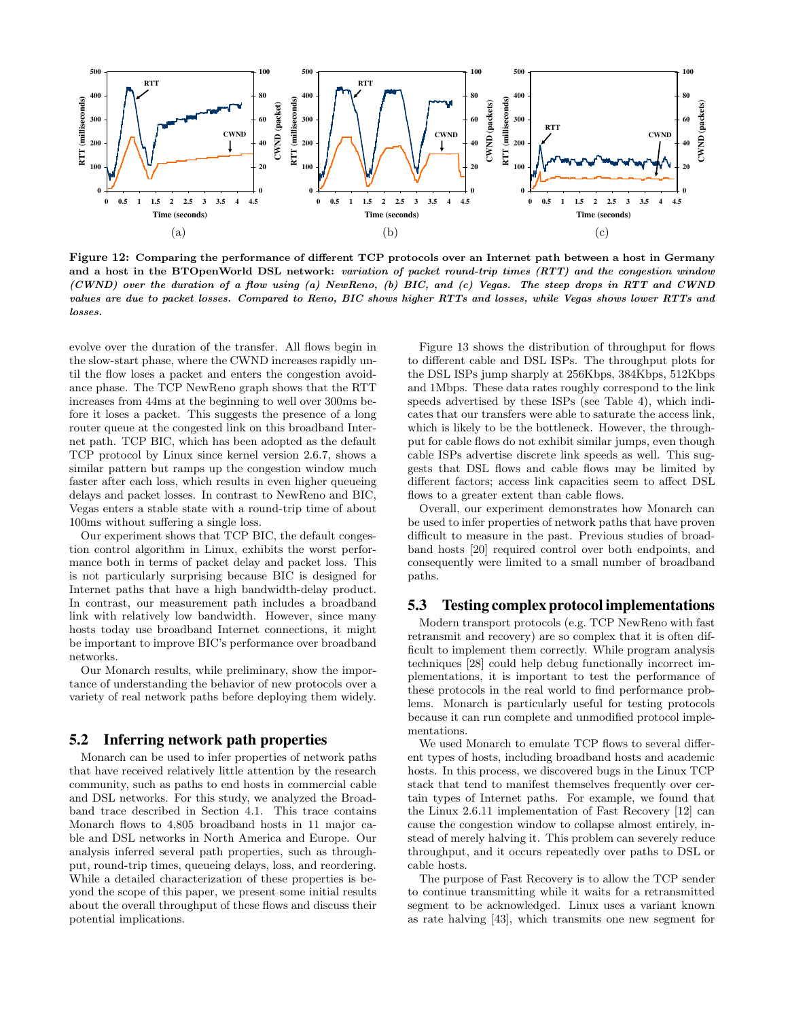

Figure 12: Comparing the performance of different TCP protocols over an Internet path between a host in Germany and a host in the BTOpenWorld DSL network: variation of packet round-trip times (RTT) and the congestion window (CWND) over the duration of a flow using (a) NewReno, (b) BIC, and (c) Vegas. The steep drops in RTT and CWND values are due to packet losses. Compared to Reno, BIC shows higher RTTs and losses, while Vegas shows lower RTTs and losses.

evolve over the duration of the transfer. All flows begin in the slow-start phase, where the CWND increases rapidly until the flow loses a packet and enters the congestion avoidance phase. The TCP NewReno graph shows that the RTT increases from 44ms at the beginning to well over 300ms before it loses a packet. This suggests the presence of a long router queue at the congested link on this broadband Internet path. TCP BIC, which has been adopted as the default TCP protocol by Linux since kernel version 2.6.7, shows a similar pattern but ramps up the congestion window much faster after each loss, which results in even higher queueing delays and packet losses. In contrast to NewReno and BIC, Vegas enters a stable state with a round-trip time of about 100ms without suffering a single loss.

Our experiment shows that TCP BIC, the default congestion control algorithm in Linux, exhibits the worst performance both in terms of packet delay and packet loss. This is not particularly surprising because BIC is designed for Internet paths that have a high bandwidth-delay product. In contrast, our measurement path includes a broadband link with relatively low bandwidth. However, since many hosts today use broadband Internet connections, it might be important to improve BIC's performance over broadband networks.

Our Monarch results, while preliminary, show the importance of understanding the behavior of new protocols over a variety of real network paths before deploying them widely.

#### **5.2 Inferring network path properties**

Monarch can be used to infer properties of network paths that have received relatively little attention by the research community, such as paths to end hosts in commercial cable and DSL networks. For this study, we analyzed the Broadband trace described in Section 4.1. This trace contains Monarch flows to 4,805 broadband hosts in 11 major cable and DSL networks in North America and Europe. Our analysis inferred several path properties, such as throughput, round-trip times, queueing delays, loss, and reordering. While a detailed characterization of these properties is beyond the scope of this paper, we present some initial results about the overall throughput of these flows and discuss their potential implications.

Figure 13 shows the distribution of throughput for flows to different cable and DSL ISPs. The throughput plots for the DSL ISPs jump sharply at 256Kbps, 384Kbps, 512Kbps and 1Mbps. These data rates roughly correspond to the link speeds advertised by these ISPs (see Table 4), which indicates that our transfers were able to saturate the access link, which is likely to be the bottleneck. However, the throughput for cable flows do not exhibit similar jumps, even though cable ISPs advertise discrete link speeds as well. This suggests that DSL flows and cable flows may be limited by different factors; access link capacities seem to affect DSL flows to a greater extent than cable flows.

Overall, our experiment demonstrates how Monarch can be used to infer properties of network paths that have proven difficult to measure in the past. Previous studies of broadband hosts [20] required control over both endpoints, and consequently were limited to a small number of broadband paths.

## **5.3 Testing complex protocol implementations**

Modern transport protocols (e.g. TCP NewReno with fast retransmit and recovery) are so complex that it is often difficult to implement them correctly. While program analysis techniques [28] could help debug functionally incorrect implementations, it is important to test the performance of these protocols in the real world to find performance problems. Monarch is particularly useful for testing protocols because it can run complete and unmodified protocol implementations.

We used Monarch to emulate TCP flows to several different types of hosts, including broadband hosts and academic hosts. In this process, we discovered bugs in the Linux TCP stack that tend to manifest themselves frequently over certain types of Internet paths. For example, we found that the Linux 2.6.11 implementation of Fast Recovery [12] can cause the congestion window to collapse almost entirely, instead of merely halving it. This problem can severely reduce throughput, and it occurs repeatedly over paths to DSL or cable hosts.

The purpose of Fast Recovery is to allow the TCP sender to continue transmitting while it waits for a retransmitted segment to be acknowledged. Linux uses a variant known as rate halving [43], which transmits one new segment for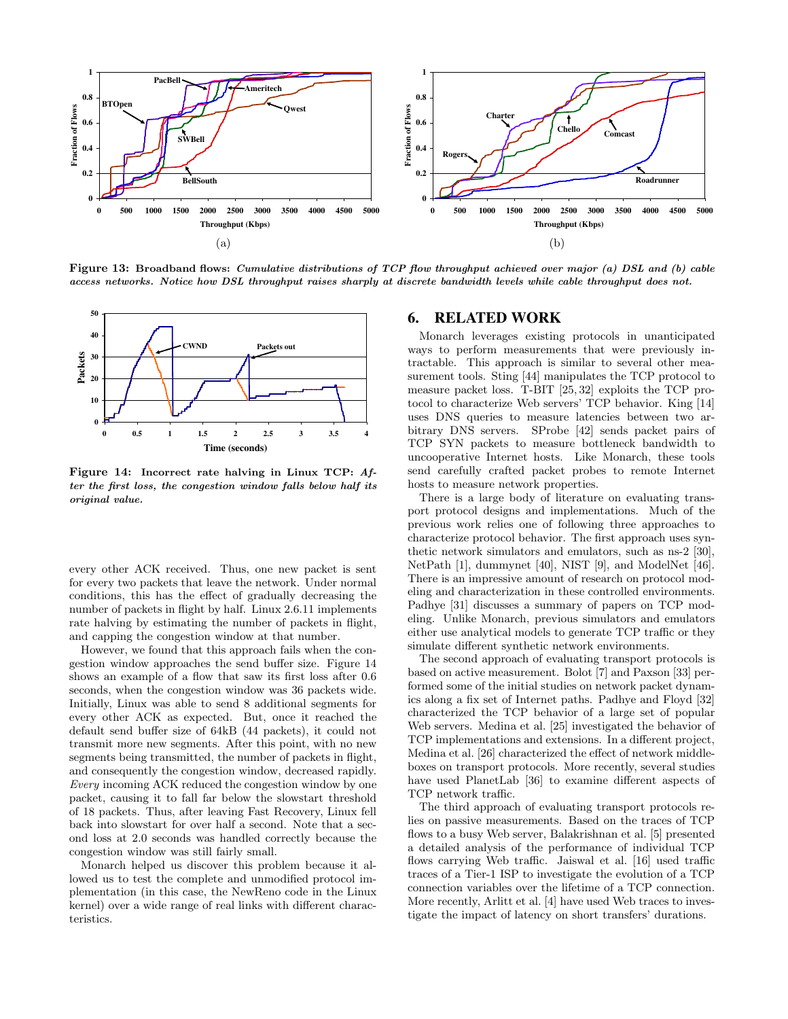

Figure 13: Broadband flows: Cumulative distributions of TCP flow throughput achieved over major (a) DSL and (b) cable access networks. Notice how DSL throughput raises sharply at discrete bandwidth levels while cable throughput does not.



Figure 14: Incorrect rate halving in Linux TCP: After the first loss, the congestion window falls below half its original value.

every other ACK received. Thus, one new packet is sent for every two packets that leave the network. Under normal conditions, this has the effect of gradually decreasing the number of packets in flight by half. Linux 2.6.11 implements rate halving by estimating the number of packets in flight, and capping the congestion window at that number.

However, we found that this approach fails when the congestion window approaches the send buffer size. Figure 14 shows an example of a flow that saw its first loss after 0.6 seconds, when the congestion window was 36 packets wide. Initially, Linux was able to send 8 additional segments for every other ACK as expected. But, once it reached the default send buffer size of 64kB (44 packets), it could not transmit more new segments. After this point, with no new segments being transmitted, the number of packets in flight, and consequently the congestion window, decreased rapidly. Every incoming ACK reduced the congestion window by one packet, causing it to fall far below the slowstart threshold of 18 packets. Thus, after leaving Fast Recovery, Linux fell back into slowstart for over half a second. Note that a second loss at 2.0 seconds was handled correctly because the congestion window was still fairly small.

Monarch helped us discover this problem because it allowed us to test the complete and unmodified protocol implementation (in this case, the NewReno code in the Linux kernel) over a wide range of real links with different characteristics.

## **6. RELATED WORK**

Monarch leverages existing protocols in unanticipated ways to perform measurements that were previously intractable. This approach is similar to several other measurement tools. Sting [44] manipulates the TCP protocol to measure packet loss. T-BIT [25, 32] exploits the TCP protocol to characterize Web servers' TCP behavior. King [14] uses DNS queries to measure latencies between two arbitrary DNS servers. SProbe [42] sends packet pairs of TCP SYN packets to measure bottleneck bandwidth to uncooperative Internet hosts. Like Monarch, these tools send carefully crafted packet probes to remote Internet hosts to measure network properties.

There is a large body of literature on evaluating transport protocol designs and implementations. Much of the previous work relies one of following three approaches to characterize protocol behavior. The first approach uses synthetic network simulators and emulators, such as ns-2 [30], NetPath [1], dummynet [40], NIST [9], and ModelNet [46]. There is an impressive amount of research on protocol modeling and characterization in these controlled environments. Padhye [31] discusses a summary of papers on TCP modeling. Unlike Monarch, previous simulators and emulators either use analytical models to generate TCP traffic or they simulate different synthetic network environments.

The second approach of evaluating transport protocols is based on active measurement. Bolot [7] and Paxson [33] performed some of the initial studies on network packet dynamics along a fix set of Internet paths. Padhye and Floyd [32] characterized the TCP behavior of a large set of popular Web servers. Medina et al. [25] investigated the behavior of TCP implementations and extensions. In a different project, Medina et al. [26] characterized the effect of network middleboxes on transport protocols. More recently, several studies have used PlanetLab [36] to examine different aspects of TCP network traffic.

The third approach of evaluating transport protocols relies on passive measurements. Based on the traces of TCP flows to a busy Web server, Balakrishnan et al. [5] presented a detailed analysis of the performance of individual TCP flows carrying Web traffic. Jaiswal et al. [16] used traffic traces of a Tier-1 ISP to investigate the evolution of a TCP connection variables over the lifetime of a TCP connection. More recently, Arlitt et al. [4] have used Web traces to investigate the impact of latency on short transfers' durations.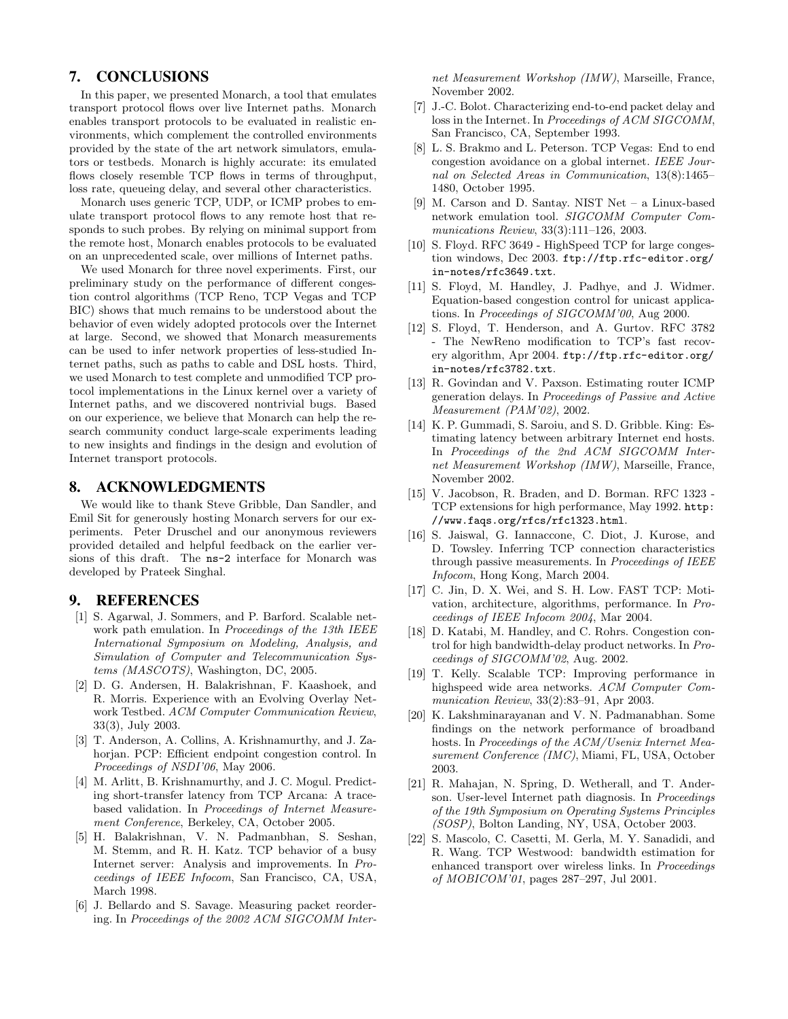# **7. CONCLUSIONS**

In this paper, we presented Monarch, a tool that emulates transport protocol flows over live Internet paths. Monarch enables transport protocols to be evaluated in realistic environments, which complement the controlled environments provided by the state of the art network simulators, emulators or testbeds. Monarch is highly accurate: its emulated flows closely resemble TCP flows in terms of throughput, loss rate, queueing delay, and several other characteristics.

Monarch uses generic TCP, UDP, or ICMP probes to emulate transport protocol flows to any remote host that responds to such probes. By relying on minimal support from the remote host, Monarch enables protocols to be evaluated on an unprecedented scale, over millions of Internet paths.

We used Monarch for three novel experiments. First, our preliminary study on the performance of different congestion control algorithms (TCP Reno, TCP Vegas and TCP BIC) shows that much remains to be understood about the behavior of even widely adopted protocols over the Internet at large. Second, we showed that Monarch measurements can be used to infer network properties of less-studied Internet paths, such as paths to cable and DSL hosts. Third, we used Monarch to test complete and unmodified TCP protocol implementations in the Linux kernel over a variety of Internet paths, and we discovered nontrivial bugs. Based on our experience, we believe that Monarch can help the research community conduct large-scale experiments leading to new insights and findings in the design and evolution of Internet transport protocols.

# **8. ACKNOWLEDGMENTS**

We would like to thank Steve Gribble, Dan Sandler, and Emil Sit for generously hosting Monarch servers for our experiments. Peter Druschel and our anonymous reviewers provided detailed and helpful feedback on the earlier versions of this draft. The ns-2 interface for Monarch was developed by Prateek Singhal.

#### **9. REFERENCES**

- [1] S. Agarwal, J. Sommers, and P. Barford. Scalable network path emulation. In Proceedings of the 13th IEEE International Symposium on Modeling, Analysis, and Simulation of Computer and Telecommunication Systems (MASCOTS), Washington, DC, 2005.
- [2] D. G. Andersen, H. Balakrishnan, F. Kaashoek, and R. Morris. Experience with an Evolving Overlay Network Testbed. ACM Computer Communication Review, 33(3), July 2003.
- [3] T. Anderson, A. Collins, A. Krishnamurthy, and J. Zahorjan. PCP: Efficient endpoint congestion control. In Proceedings of NSDI'06, May 2006.
- [4] M. Arlitt, B. Krishnamurthy, and J. C. Mogul. Predicting short-transfer latency from TCP Arcana: A tracebased validation. In Proceedings of Internet Measurement Conference, Berkeley, CA, October 2005.
- [5] H. Balakrishnan, V. N. Padmanbhan, S. Seshan, M. Stemm, and R. H. Katz. TCP behavior of a busy Internet server: Analysis and improvements. In Proceedings of IEEE Infocom, San Francisco, CA, USA, March 1998.
- [6] J. Bellardo and S. Savage. Measuring packet reordering. In Proceedings of the 2002 ACM SIGCOMM Inter-

net Measurement Workshop (IMW), Marseille, France, November 2002.

- [7] J.-C. Bolot. Characterizing end-to-end packet delay and loss in the Internet. In Proceedings of ACM SIGCOMM, San Francisco, CA, September 1993.
- [8] L. S. Brakmo and L. Peterson. TCP Vegas: End to end congestion avoidance on a global internet. IEEE Journal on Selected Areas in Communication, 13(8):1465– 1480, October 1995.
- [9] M. Carson and D. Santay. NIST Net a Linux-based network emulation tool. SIGCOMM Computer Communications Review, 33(3):111–126, 2003.
- [10] S. Floyd. RFC 3649 HighSpeed TCP for large congestion windows, Dec 2003. ftp://ftp.rfc-editor.org/ in-notes/rfc3649.txt.
- [11] S. Floyd, M. Handley, J. Padhye, and J. Widmer. Equation-based congestion control for unicast applications. In Proceedings of SIGCOMM'00, Aug 2000.
- [12] S. Floyd, T. Henderson, and A. Gurtov. RFC 3782 - The NewReno modification to TCP's fast recovery algorithm, Apr 2004. ftp://ftp.rfc-editor.org/ in-notes/rfc3782.txt.
- [13] R. Govindan and V. Paxson. Estimating router ICMP generation delays. In Proceedings of Passive and Active Measurement (PAM'02), 2002.
- [14] K. P. Gummadi, S. Saroiu, and S. D. Gribble. King: Estimating latency between arbitrary Internet end hosts. In Proceedings of the 2nd ACM SIGCOMM Internet Measurement Workshop (IMW), Marseille, France, November 2002.
- [15] V. Jacobson, R. Braden, and D. Borman. RFC 1323 TCP extensions for high performance, May 1992. http: //www.faqs.org/rfcs/rfc1323.html.
- [16] S. Jaiswal, G. Iannaccone, C. Diot, J. Kurose, and D. Towsley. Inferring TCP connection characteristics through passive measurements. In Proceedings of IEEE Infocom, Hong Kong, March 2004.
- [17] C. Jin, D. X. Wei, and S. H. Low. FAST TCP: Motivation, architecture, algorithms, performance. In Proceedings of IEEE Infocom 2004, Mar 2004.
- [18] D. Katabi, M. Handley, and C. Rohrs. Congestion control for high bandwidth-delay product networks. In Proceedings of SIGCOMM'02, Aug. 2002.
- [19] T. Kelly. Scalable TCP: Improving performance in highspeed wide area networks. ACM Computer Communication Review, 33(2):83–91, Apr 2003.
- [20] K. Lakshminarayanan and V. N. Padmanabhan. Some findings on the network performance of broadband hosts. In Proceedings of the ACM/Usenix Internet Measurement Conference (IMC), Miami, FL, USA, October 2003.
- [21] R. Mahajan, N. Spring, D. Wetherall, and T. Anderson. User-level Internet path diagnosis. In Proceedings of the 19th Symposium on Operating Systems Principles (SOSP), Bolton Landing, NY, USA, October 2003.
- [22] S. Mascolo, C. Casetti, M. Gerla, M. Y. Sanadidi, and R. Wang. TCP Westwood: bandwidth estimation for enhanced transport over wireless links. In Proceedings of MOBICOM'01, pages 287–297, Jul 2001.